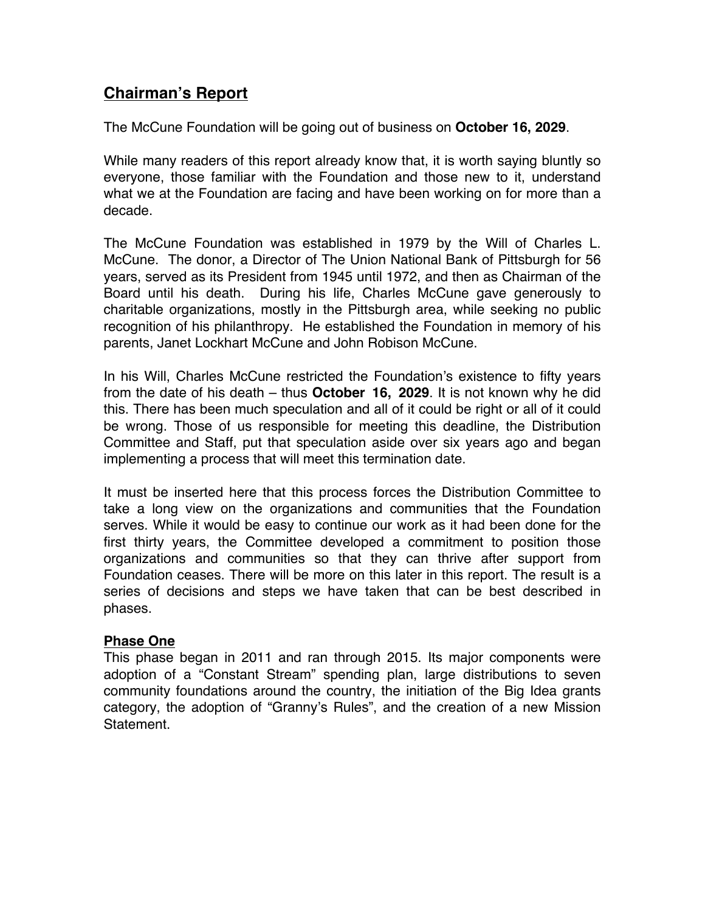# **Chairman's Report**

The McCune Foundation will be going out of business on **October 16, 2029**.

While many readers of this report already know that, it is worth saying bluntly so everyone, those familiar with the Foundation and those new to it, understand what we at the Foundation are facing and have been working on for more than a decade.

The McCune Foundation was established in 1979 by the Will of Charles L. McCune. The donor, a Director of The Union National Bank of Pittsburgh for 56 years, served as its President from 1945 until 1972, and then as Chairman of the Board until his death. During his life, Charles McCune gave generously to charitable organizations, mostly in the Pittsburgh area, while seeking no public recognition of his philanthropy. He established the Foundation in memory of his parents, Janet Lockhart McCune and John Robison McCune.

In his Will, Charles McCune restricted the Foundation's existence to fifty years from the date of his death – thus **October 16, 2029**. It is not known why he did this. There has been much speculation and all of it could be right or all of it could be wrong. Those of us responsible for meeting this deadline, the Distribution Committee and Staff, put that speculation aside over six years ago and began implementing a process that will meet this termination date.

It must be inserted here that this process forces the Distribution Committee to take a long view on the organizations and communities that the Foundation serves. While it would be easy to continue our work as it had been done for the first thirty years, the Committee developed a commitment to position those organizations and communities so that they can thrive after support from Foundation ceases. There will be more on this later in this report. The result is a series of decisions and steps we have taken that can be best described in phases.

### **Phase One**

This phase began in 2011 and ran through 2015. Its major components were adoption of a "Constant Stream" spending plan, large distributions to seven community foundations around the country, the initiation of the Big Idea grants category, the adoption of "Granny's Rules", and the creation of a new Mission Statement.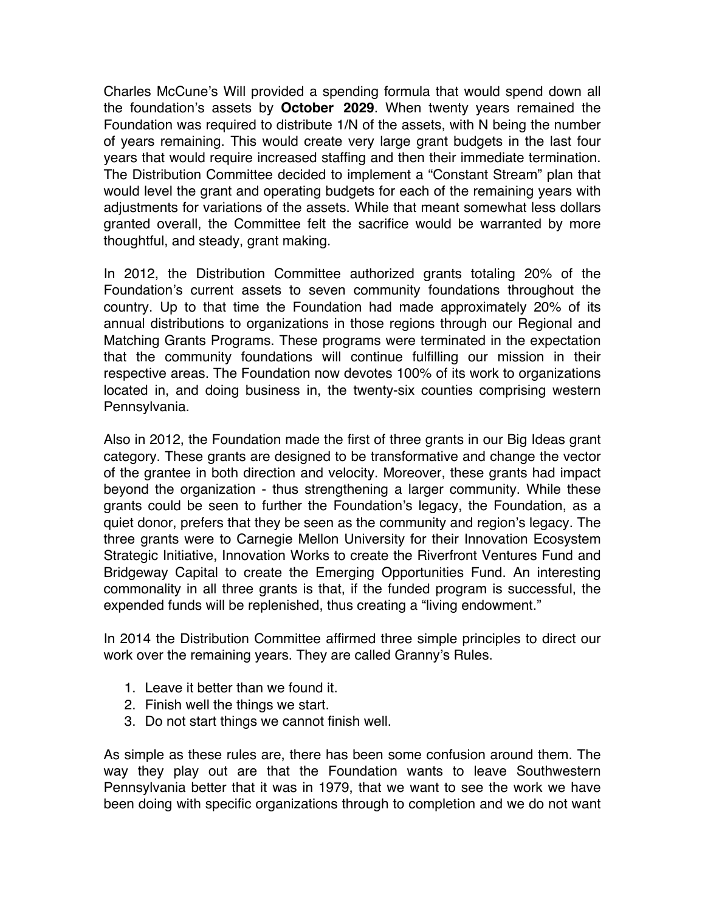Charles McCune's Will provided a spending formula that would spend down all the foundation's assets by **October 2029**. When twenty years remained the Foundation was required to distribute 1/N of the assets, with N being the number of years remaining. This would create very large grant budgets in the last four years that would require increased staffing and then their immediate termination. The Distribution Committee decided to implement a "Constant Stream" plan that would level the grant and operating budgets for each of the remaining years with adjustments for variations of the assets. While that meant somewhat less dollars granted overall, the Committee felt the sacrifice would be warranted by more thoughtful, and steady, grant making.

In 2012, the Distribution Committee authorized grants totaling 20% of the Foundation's current assets to seven community foundations throughout the country. Up to that time the Foundation had made approximately 20% of its annual distributions to organizations in those regions through our Regional and Matching Grants Programs. These programs were terminated in the expectation that the community foundations will continue fulfilling our mission in their respective areas. The Foundation now devotes 100% of its work to organizations located in, and doing business in, the twenty-six counties comprising western Pennsylvania.

Also in 2012, the Foundation made the first of three grants in our Big Ideas grant category. These grants are designed to be transformative and change the vector of the grantee in both direction and velocity. Moreover, these grants had impact beyond the organization - thus strengthening a larger community. While these grants could be seen to further the Foundation's legacy, the Foundation, as a quiet donor, prefers that they be seen as the community and region's legacy. The three grants were to Carnegie Mellon University for their Innovation Ecosystem Strategic Initiative, Innovation Works to create the Riverfront Ventures Fund and Bridgeway Capital to create the Emerging Opportunities Fund. An interesting commonality in all three grants is that, if the funded program is successful, the expended funds will be replenished, thus creating a "living endowment."

In 2014 the Distribution Committee affirmed three simple principles to direct our work over the remaining years. They are called Granny's Rules.

- 1. Leave it better than we found it.
- 2. Finish well the things we start.
- 3. Do not start things we cannot finish well.

As simple as these rules are, there has been some confusion around them. The way they play out are that the Foundation wants to leave Southwestern Pennsylvania better that it was in 1979, that we want to see the work we have been doing with specific organizations through to completion and we do not want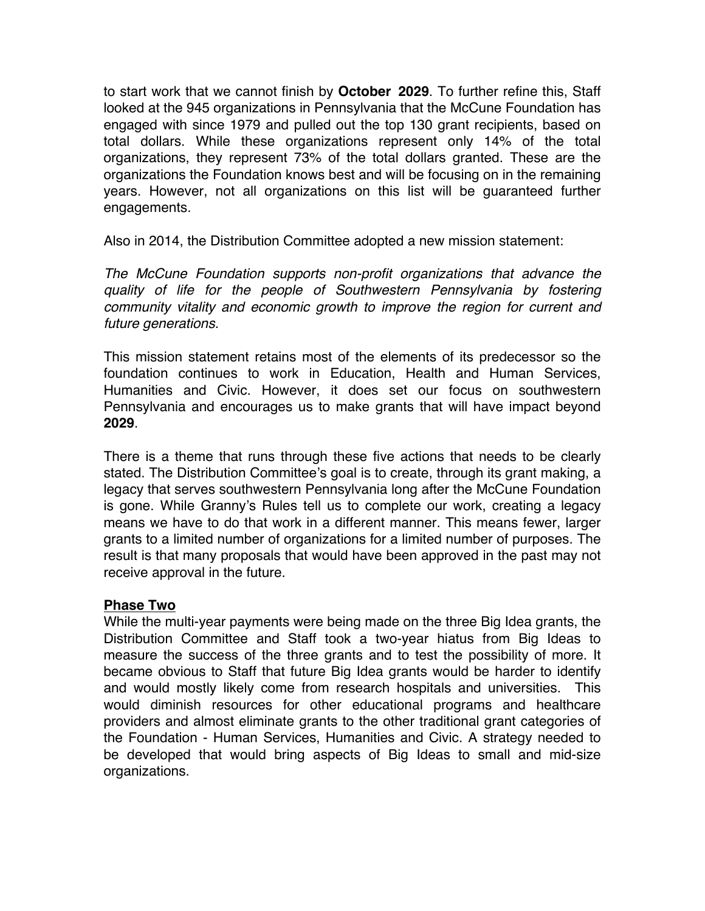to start work that we cannot finish by **October 2029**. To further refine this, Staff looked at the 945 organizations in Pennsylvania that the McCune Foundation has engaged with since 1979 and pulled out the top 130 grant recipients, based on total dollars. While these organizations represent only 14% of the total organizations, they represent 73% of the total dollars granted. These are the organizations the Foundation knows best and will be focusing on in the remaining years. However, not all organizations on this list will be guaranteed further engagements.

Also in 2014, the Distribution Committee adopted a new mission statement:

*The McCune Foundation supports non-profit organizations that advance the quality of life for the people of Southwestern Pennsylvania by fostering community vitality and economic growth to improve the region for current and future generations.*

This mission statement retains most of the elements of its predecessor so the foundation continues to work in Education, Health and Human Services, Humanities and Civic. However, it does set our focus on southwestern Pennsylvania and encourages us to make grants that will have impact beyond **2029**.

There is a theme that runs through these five actions that needs to be clearly stated. The Distribution Committee's goal is to create, through its grant making, a legacy that serves southwestern Pennsylvania long after the McCune Foundation is gone. While Granny's Rules tell us to complete our work, creating a legacy means we have to do that work in a different manner. This means fewer, larger grants to a limited number of organizations for a limited number of purposes. The result is that many proposals that would have been approved in the past may not receive approval in the future.

### **Phase Two**

While the multi-year payments were being made on the three Big Idea grants, the Distribution Committee and Staff took a two-year hiatus from Big Ideas to measure the success of the three grants and to test the possibility of more. It became obvious to Staff that future Big Idea grants would be harder to identify and would mostly likely come from research hospitals and universities. This would diminish resources for other educational programs and healthcare providers and almost eliminate grants to the other traditional grant categories of the Foundation - Human Services, Humanities and Civic. A strategy needed to be developed that would bring aspects of Big Ideas to small and mid-size organizations.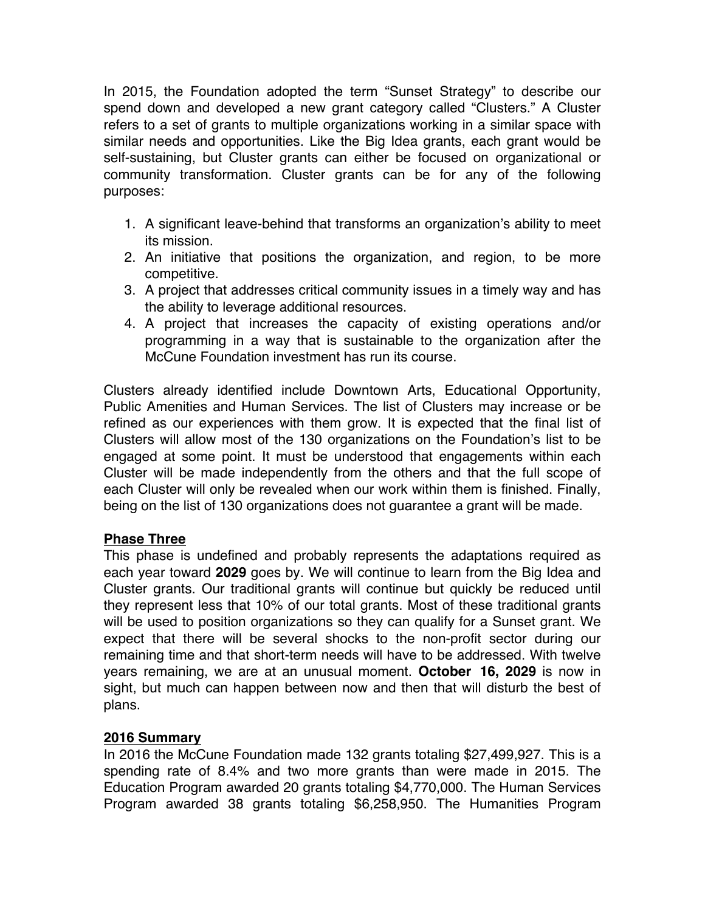In 2015, the Foundation adopted the term "Sunset Strategy" to describe our spend down and developed a new grant category called "Clusters." A Cluster refers to a set of grants to multiple organizations working in a similar space with similar needs and opportunities. Like the Big Idea grants, each grant would be self-sustaining, but Cluster grants can either be focused on organizational or community transformation. Cluster grants can be for any of the following purposes:

- 1. A significant leave-behind that transforms an organization's ability to meet its mission.
- 2. An initiative that positions the organization, and region, to be more competitive.
- 3. A project that addresses critical community issues in a timely way and has the ability to leverage additional resources.
- 4. A project that increases the capacity of existing operations and/or programming in a way that is sustainable to the organization after the McCune Foundation investment has run its course.

Clusters already identified include Downtown Arts, Educational Opportunity, Public Amenities and Human Services. The list of Clusters may increase or be refined as our experiences with them grow. It is expected that the final list of Clusters will allow most of the 130 organizations on the Foundation's list to be engaged at some point. It must be understood that engagements within each Cluster will be made independently from the others and that the full scope of each Cluster will only be revealed when our work within them is finished. Finally, being on the list of 130 organizations does not guarantee a grant will be made.

## **Phase Three**

This phase is undefined and probably represents the adaptations required as each year toward **2029** goes by. We will continue to learn from the Big Idea and Cluster grants. Our traditional grants will continue but quickly be reduced until they represent less that 10% of our total grants. Most of these traditional grants will be used to position organizations so they can qualify for a Sunset grant. We expect that there will be several shocks to the non-profit sector during our remaining time and that short-term needs will have to be addressed. With twelve years remaining, we are at an unusual moment. **October 16, 2029** is now in sight, but much can happen between now and then that will disturb the best of plans.

## **2016 Summary**

In 2016 the McCune Foundation made 132 grants totaling \$27,499,927. This is a spending rate of 8.4% and two more grants than were made in 2015. The Education Program awarded 20 grants totaling \$4,770,000. The Human Services Program awarded 38 grants totaling \$6,258,950. The Humanities Program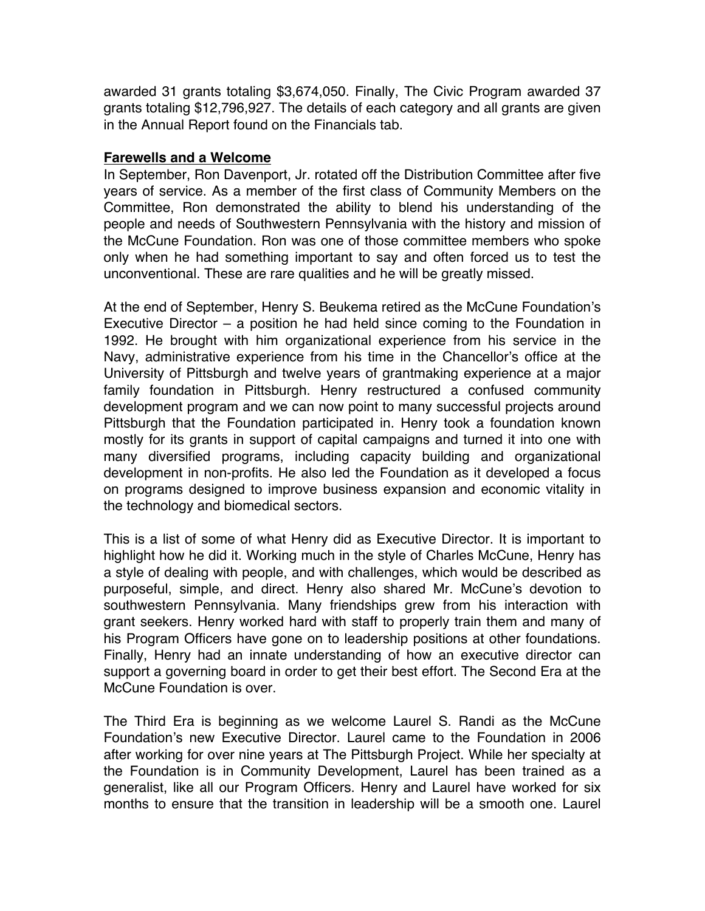awarded 31 grants totaling \$3,674,050. Finally, The Civic Program awarded 37 grants totaling \$12,796,927. The details of each category and all grants are given in the Annual Report found on the Financials tab.

#### **Farewells and a Welcome**

In September, Ron Davenport, Jr. rotated off the Distribution Committee after five years of service. As a member of the first class of Community Members on the Committee, Ron demonstrated the ability to blend his understanding of the people and needs of Southwestern Pennsylvania with the history and mission of the McCune Foundation. Ron was one of those committee members who spoke only when he had something important to say and often forced us to test the unconventional. These are rare qualities and he will be greatly missed.

At the end of September, Henry S. Beukema retired as the McCune Foundation's Executive Director – a position he had held since coming to the Foundation in 1992. He brought with him organizational experience from his service in the Navy, administrative experience from his time in the Chancellor's office at the University of Pittsburgh and twelve years of grantmaking experience at a major family foundation in Pittsburgh. Henry restructured a confused community development program and we can now point to many successful projects around Pittsburgh that the Foundation participated in. Henry took a foundation known mostly for its grants in support of capital campaigns and turned it into one with many diversified programs, including capacity building and organizational development in non-profits. He also led the Foundation as it developed a focus on programs designed to improve business expansion and economic vitality in the technology and biomedical sectors.

This is a list of some of what Henry did as Executive Director. It is important to highlight how he did it. Working much in the style of Charles McCune, Henry has a style of dealing with people, and with challenges, which would be described as purposeful, simple, and direct. Henry also shared Mr. McCune's devotion to southwestern Pennsylvania. Many friendships grew from his interaction with grant seekers. Henry worked hard with staff to properly train them and many of his Program Officers have gone on to leadership positions at other foundations. Finally, Henry had an innate understanding of how an executive director can support a governing board in order to get their best effort. The Second Era at the McCune Foundation is over.

The Third Era is beginning as we welcome Laurel S. Randi as the McCune Foundation's new Executive Director. Laurel came to the Foundation in 2006 after working for over nine years at The Pittsburgh Project. While her specialty at the Foundation is in Community Development, Laurel has been trained as a generalist, like all our Program Officers. Henry and Laurel have worked for six months to ensure that the transition in leadership will be a smooth one. Laurel